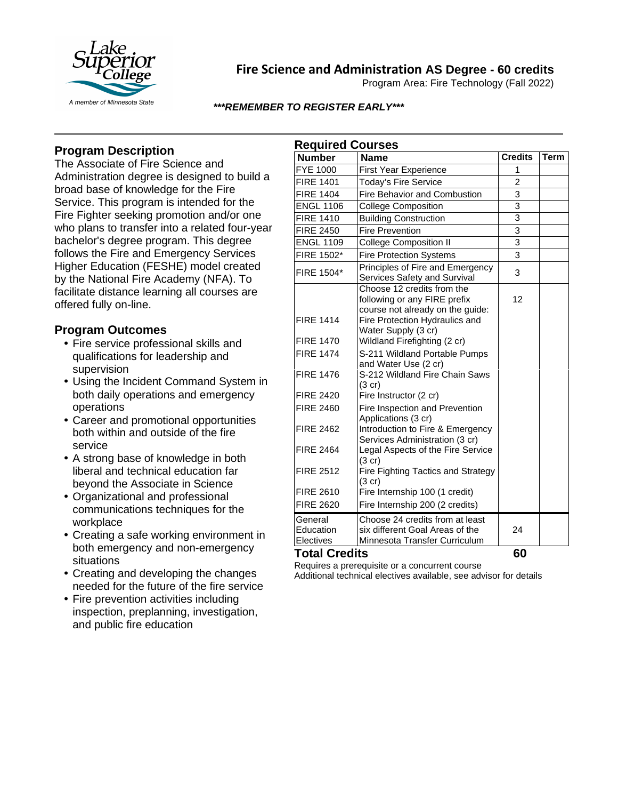

# **Fire Science and Administration AS Degree - 60 credits**

Program Area: Fire Technology (Fall 2022)

#### *\*\*\*REMEMBER TO REGISTER EARLY\*\*\**

## **Program Description**

The Associate of Fire Science and Administration degree is designed to build a broad base of knowledge for the Fire Service. This program is intended for the Fire Fighter seeking promotion and/or one who plans to transfer into a related four-year bachelor's degree program. This degree follows the Fire and Emergency Services Higher Education (FESHE) model created by the National Fire Academy (NFA). To facilitate distance learning all courses are offered fully on-line.

## **Program Outcomes**

- Fire service professional skills and qualifications for leadership and supervision
- Using the Incident Command System in both daily operations and emergency operations
- Career and promotional opportunities both within and outside of the fire service
- A strong base of knowledge in both liberal and technical education far beyond the Associate in Science
- Organizational and professional communications techniques for the workplace
- Creating a safe working environment in both emergency and non-emergency situations
- Creating and developing the changes needed for the future of the fire service
- Fire prevention activities including inspection, preplanning, investigation, and public fire education

| <b>Required Courses</b>           |                                                                                                     |                |             |
|-----------------------------------|-----------------------------------------------------------------------------------------------------|----------------|-------------|
| <b>Number</b>                     | <b>Name</b>                                                                                         | <b>Credits</b> | <b>Term</b> |
| <b>FYE 1000</b>                   | <b>First Year Experience</b>                                                                        | 1              |             |
| <b>FIRE 1401</b>                  | Today's Fire Service                                                                                | $\overline{2}$ |             |
| <b>FIRE 1404</b>                  | Fire Behavior and Combustion                                                                        | 3              |             |
| <b>ENGL 1106</b>                  | <b>College Composition</b>                                                                          | 3              |             |
| <b>FIRE 1410</b>                  | <b>Building Construction</b>                                                                        | 3              |             |
| <b>FIRE 2450</b>                  | <b>Fire Prevention</b>                                                                              | 3              |             |
| ENGL 1109                         | <b>College Composition II</b>                                                                       | 3              |             |
| <b>FIRE 1502*</b>                 | <b>Fire Protection Systems</b>                                                                      | 3              |             |
| <b>FIRE 1504*</b>                 | Principles of Fire and Emergency<br>Services Safety and Survival                                    | 3              |             |
| <b>FIRE 1414</b>                  | Choose 12 credits from the<br>following or any FIRE prefix<br>course not already on the guide:      | 12             |             |
|                                   | Fire Protection Hydraulics and<br>Water Supply (3 cr)                                               |                |             |
| <b>FIRE 1470</b>                  | Wildland Firefighting (2 cr)                                                                        |                |             |
| <b>FIRE 1474</b>                  | S-211 Wildland Portable Pumps<br>and Water Use (2 cr)                                               |                |             |
| <b>FIRE 1476</b>                  | S-212 Wildland Fire Chain Saws<br>$(3 \text{ cr})$                                                  |                |             |
| <b>FIRE 2420</b>                  | Fire Instructor (2 cr)                                                                              |                |             |
| <b>FIRE 2460</b>                  | Fire Inspection and Prevention<br>Applications (3 cr)                                               |                |             |
| <b>FIRE 2462</b>                  | Introduction to Fire & Emergency<br>Services Administration (3 cr)                                  |                |             |
| <b>FIRE 2464</b>                  | Legal Aspects of the Fire Service<br>(3 cr)                                                         |                |             |
| <b>FIRE 2512</b>                  | Fire Fighting Tactics and Strategy<br>(3 cr)                                                        |                |             |
| <b>FIRE 2610</b>                  | Fire Internship 100 (1 credit)                                                                      |                |             |
| <b>FIRE 2620</b>                  | Fire Internship 200 (2 credits)                                                                     |                |             |
| General<br>Education<br>Electives | Choose 24 credits from at least<br>six different Goal Areas of the<br>Minnesota Transfer Curriculum | 24             |             |

## **Total Credits 60**

Requires a prerequisite or a concurrent course

Additional technical electives available, see advisor for details